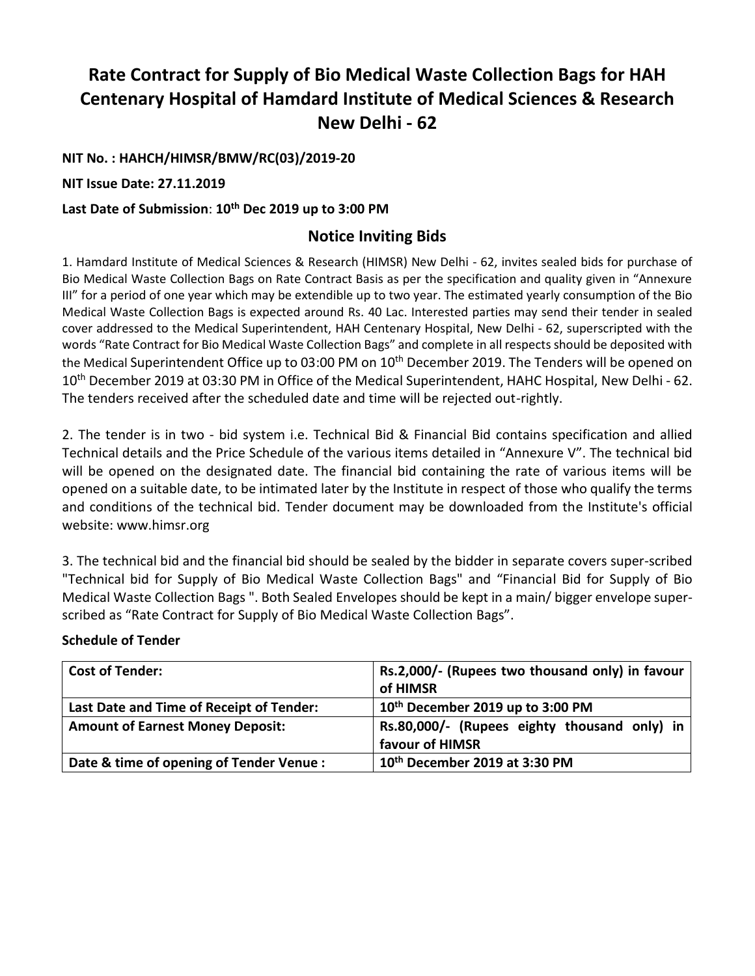# **Rate Contract for Supply of Bio Medical Waste Collection Bags for HAH Centenary Hospital of Hamdard Institute of Medical Sciences & Research New Delhi - 62**

**NIT No. : HAHCH/HIMSR/BMW/RC(03)/2019-20**

**NIT Issue Date: 27.11.2019**

#### **Last Date of Submission**: **10th Dec 2019 up to 3:00 PM**

### **Notice Inviting Bids**

1. Hamdard Institute of Medical Sciences & Research (HIMSR) New Delhi - 62, invites sealed bids for purchase of Bio Medical Waste Collection Bags on Rate Contract Basis as per the specification and quality given in "Annexure III" for a period of one year which may be extendible up to two year. The estimated yearly consumption of the Bio Medical Waste Collection Bags is expected around Rs. 40 Lac. Interested parties may send their tender in sealed cover addressed to the Medical Superintendent, HAH Centenary Hospital, New Delhi - 62, superscripted with the words "Rate Contract for Bio Medical Waste Collection Bags" and complete in all respects should be deposited with the Medical Superintendent Office up to 03:00 PM on 10<sup>th</sup> December 2019. The Tenders will be opened on 10<sup>th</sup> December 2019 at 03:30 PM in Office of the Medical Superintendent, HAHC Hospital, New Delhi - 62. The tenders received after the scheduled date and time will be rejected out-rightly.

2. The tender is in two - bid system i.e. Technical Bid & Financial Bid contains specification and allied Technical details and the Price Schedule of the various items detailed in "Annexure V". The technical bid will be opened on the designated date. The financial bid containing the rate of various items will be opened on a suitable date, to be intimated later by the Institute in respect of those who qualify the terms and conditions of the technical bid. Tender document may be downloaded from the Institute's official website: www.himsr.org

3. The technical bid and the financial bid should be sealed by the bidder in separate covers super-scribed "Technical bid for Supply of Bio Medical Waste Collection Bags" and "Financial Bid for Supply of Bio Medical Waste Collection Bags ". Both Sealed Envelopes should be kept in a main/ bigger envelope superscribed as "Rate Contract for Supply of Bio Medical Waste Collection Bags".

#### **Schedule of Tender**

| Cost of Tender:                          | Rs.2,000/- (Rupees two thousand only) in favour |  |  |
|------------------------------------------|-------------------------------------------------|--|--|
|                                          | of HIMSR                                        |  |  |
| Last Date and Time of Receipt of Tender: | 10 <sup>th</sup> December 2019 up to 3:00 PM    |  |  |
| <b>Amount of Earnest Money Deposit:</b>  | Rs.80,000/- (Rupees eighty thousand only) in    |  |  |
|                                          | favour of HIMSR                                 |  |  |
| Date & time of opening of Tender Venue : | 10th December 2019 at 3:30 PM                   |  |  |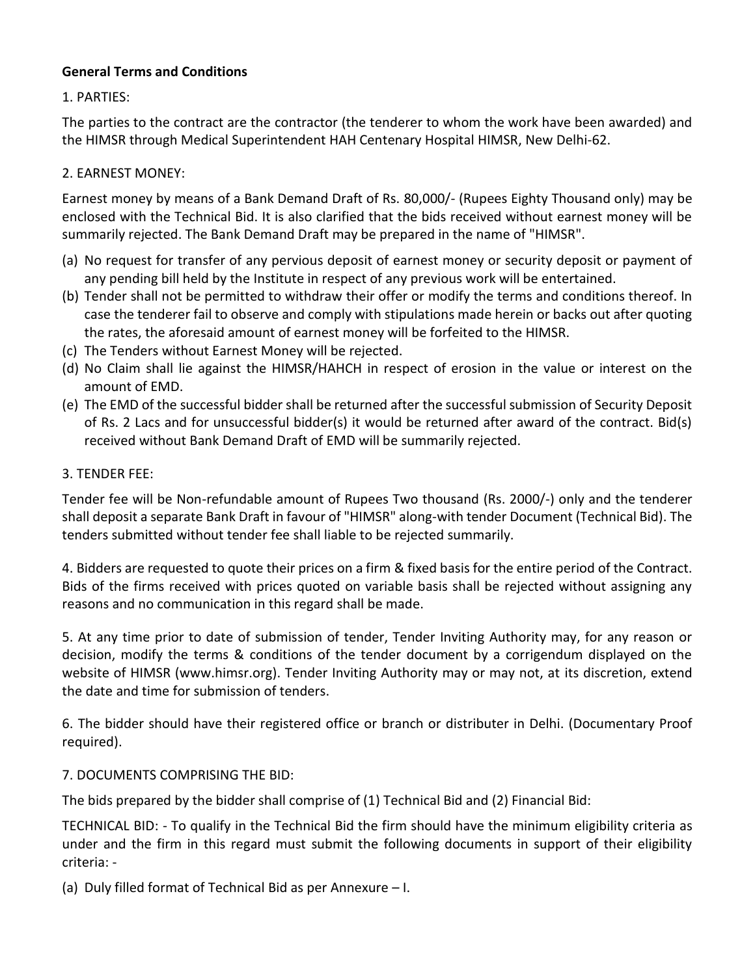# **General Terms and Conditions**

# 1. PARTIES:

The parties to the contract are the contractor (the tenderer to whom the work have been awarded) and the HIMSR through Medical Superintendent HAH Centenary Hospital HIMSR, New Delhi-62.

### 2. EARNEST MONEY:

Earnest money by means of a Bank Demand Draft of Rs. 80,000/- (Rupees Eighty Thousand only) may be enclosed with the Technical Bid. It is also clarified that the bids received without earnest money will be summarily rejected. The Bank Demand Draft may be prepared in the name of "HIMSR".

- (a) No request for transfer of any pervious deposit of earnest money or security deposit or payment of any pending bill held by the Institute in respect of any previous work will be entertained.
- (b) Tender shall not be permitted to withdraw their offer or modify the terms and conditions thereof. In case the tenderer fail to observe and comply with stipulations made herein or backs out after quoting the rates, the aforesaid amount of earnest money will be forfeited to the HIMSR.
- (c) The Tenders without Earnest Money will be rejected.
- (d) No Claim shall lie against the HIMSR/HAHCH in respect of erosion in the value or interest on the amount of EMD.
- (e) The EMD of the successful bidder shall be returned after the successful submission of Security Deposit of Rs. 2 Lacs and for unsuccessful bidder(s) it would be returned after award of the contract. Bid(s) received without Bank Demand Draft of EMD will be summarily rejected.

#### 3. TENDER FEE:

Tender fee will be Non-refundable amount of Rupees Two thousand (Rs. 2000/-) only and the tenderer shall deposit a separate Bank Draft in favour of "HIMSR" along-with tender Document (Technical Bid). The tenders submitted without tender fee shall liable to be rejected summarily.

4. Bidders are requested to quote their prices on a firm & fixed basis for the entire period of the Contract. Bids of the firms received with prices quoted on variable basis shall be rejected without assigning any reasons and no communication in this regard shall be made.

5. At any time prior to date of submission of tender, Tender Inviting Authority may, for any reason or decision, modify the terms & conditions of the tender document by a corrigendum displayed on the website of HIMSR (www.himsr.org). Tender Inviting Authority may or may not, at its discretion, extend the date and time for submission of tenders.

6. The bidder should have their registered office or branch or distributer in Delhi. (Documentary Proof required).

#### 7. DOCUMENTS COMPRISING THE BID:

The bids prepared by the bidder shall comprise of (1) Technical Bid and (2) Financial Bid:

TECHNICAL BID: - To qualify in the Technical Bid the firm should have the minimum eligibility criteria as under and the firm in this regard must submit the following documents in support of their eligibility criteria: -

(a) Duly filled format of Technical Bid as per Annexure – I.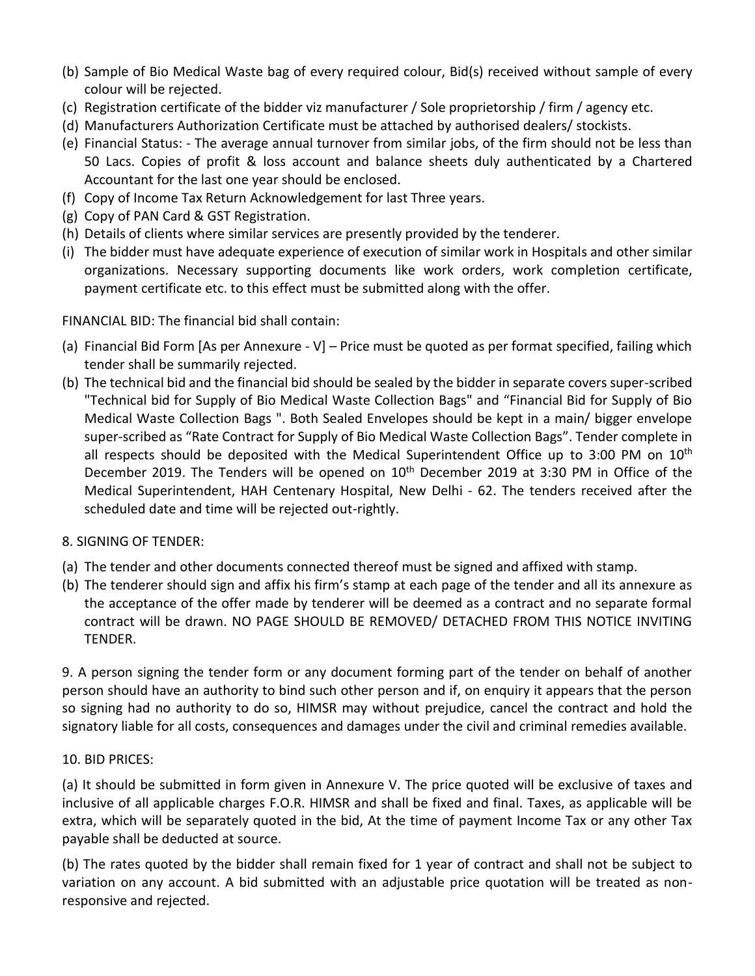- (b) Sample of Bio Medical Waste bag of every required colour, Bid(s) received without sample of every colour will be rejected.
- (c) Registration certificate of the bidder viz manufacturer / Sole proprietorship / firm / agency etc.
- (d) Manufacturers Authorization Certificate must be attached by authorised dealers/ stockists.
- (e) Financial Status: The average annual turnover from similar jobs, of the firm should not be less than 50 Lacs. Copies of profit & loss account and balance sheets duly authenticated by a Chartered Accountant for the last one year should be enclosed.
- (f) Copy of Income Tax Return Acknowledgement for last Three years.
- (g) Copy of PAN Card & GST Registration.
- (h) Details of clients where similar services are presently provided by the tenderer.
- (i) The bidder must have adequate experience of execution of similar work in Hospitals and other similar organizations. Necessary supporting documents like work orders, work completion certificate, payment certificate etc. to this effect must be submitted along with the offer.

FINANCIAL BID: The financial bid shall contain:

- (a) Financial Bid Form [As per Annexure V] Price must be quoted as per format specified, failing which tender shall be summarily rejected.
- (b) The technical bid and the financial bid should be sealed by the bidder in separate covers super-scribed "Technical bid for Supply of Bio Medical Waste Collection Bags" and "Financial Bid for Supply of Bio Medical Waste Collection Bags ". Both Sealed Envelopes should be kept in a main/ bigger envelope super-scribed as "Rate Contract for Supply of Bio Medical Waste Collection Bags". Tender complete in all respects should be deposited with the Medical Superintendent Office up to 3:00 PM on  $10<sup>th</sup>$ December 2019. The Tenders will be opened on 10<sup>th</sup> December 2019 at 3:30 PM in Office of the Medical Superintendent, HAH Centenary Hospital, New Delhi - 62. The tenders received after the scheduled date and time will be rejected out-rightly.
- 8. SIGNING OF TENDER:
- (a) The tender and other documents connected thereof must be signed and affixed with stamp.
- (b) The tenderer should sign and affix his firm's stamp at each page of the tender and all its annexure as the acceptance of the offer made by tenderer will be deemed as a contract and no separate formal contract will be drawn. NO PAGE SHOULD BE REMOVED/ DETACHED FROM THIS NOTICE INVITING TENDER.

9. A person signing the tender form or any document forming part of the tender on behalf of another person should have an authority to bind such other person and if, on enquiry it appears that the person so signing had no authority to do so, HIMSR may without prejudice, cancel the contract and hold the signatory liable for all costs, consequences and damages under the civil and criminal remedies available.

# 10. BID PRICES:

(a) It should be submitted in form given in Annexure V. The price quoted will be exclusive of taxes and inclusive of all applicable charges F.O.R. HIMSR and shall be fixed and final. Taxes, as applicable will be extra, which will be separately quoted in the bid, At the time of payment Income Tax or any other Tax payable shall be deducted at source.

(b) The rates quoted by the bidder shall remain fixed for 1 year of contract and shall not be subject to variation on any account. A bid submitted with an adjustable price quotation will be treated as nonresponsive and rejected.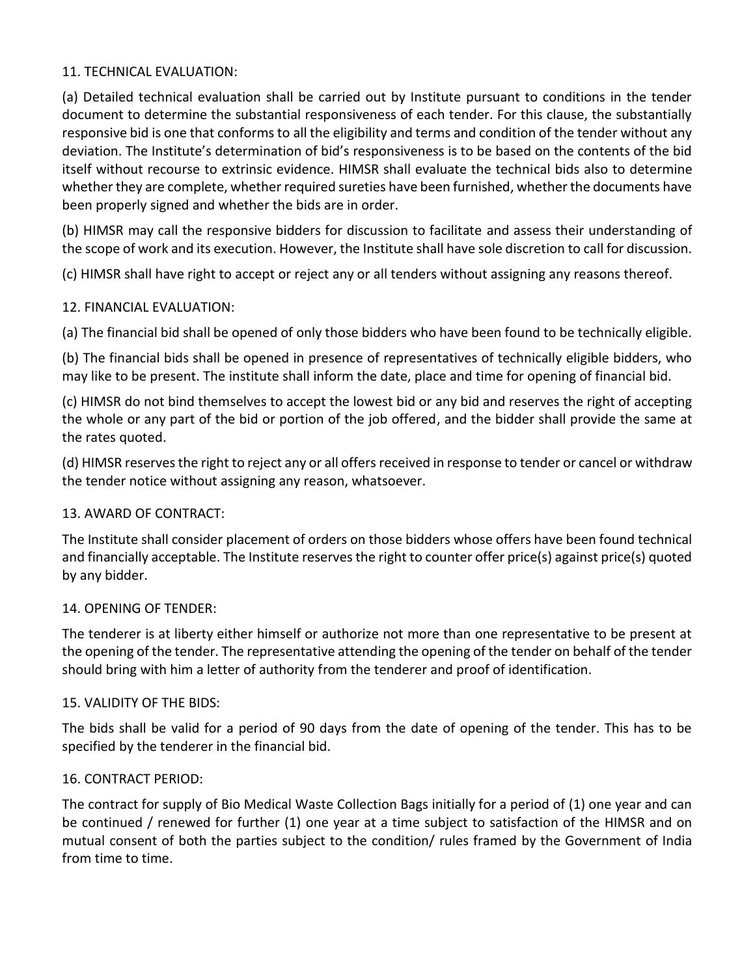### 11. TECHNICAL EVALUATION:

(a) Detailed technical evaluation shall be carried out by Institute pursuant to conditions in the tender document to determine the substantial responsiveness of each tender. For this clause, the substantially responsive bid is one that conforms to all the eligibility and terms and condition of the tender without any deviation. The Institute's determination of bid's responsiveness is to be based on the contents of the bid itself without recourse to extrinsic evidence. HIMSR shall evaluate the technical bids also to determine whether they are complete, whether required sureties have been furnished, whether the documents have been properly signed and whether the bids are in order.

(b) HIMSR may call the responsive bidders for discussion to facilitate and assess their understanding of the scope of work and its execution. However, the Institute shall have sole discretion to call for discussion.

(c) HIMSR shall have right to accept or reject any or all tenders without assigning any reasons thereof.

#### 12. FINANCIAL EVALUATION:

(a) The financial bid shall be opened of only those bidders who have been found to be technically eligible.

(b) The financial bids shall be opened in presence of representatives of technically eligible bidders, who may like to be present. The institute shall inform the date, place and time for opening of financial bid.

(c) HIMSR do not bind themselves to accept the lowest bid or any bid and reserves the right of accepting the whole or any part of the bid or portion of the job offered, and the bidder shall provide the same at the rates quoted.

(d) HIMSR reserves the right to reject any or all offers received in response to tender or cancel or withdraw the tender notice without assigning any reason, whatsoever.

#### 13. AWARD OF CONTRACT:

The Institute shall consider placement of orders on those bidders whose offers have been found technical and financially acceptable. The Institute reserves the right to counter offer price(s) against price(s) quoted by any bidder.

#### 14. OPENING OF TENDER:

The tenderer is at liberty either himself or authorize not more than one representative to be present at the opening of the tender. The representative attending the opening of the tender on behalf of the tender should bring with him a letter of authority from the tenderer and proof of identification.

#### 15. VALIDITY OF THE BIDS:

The bids shall be valid for a period of 90 days from the date of opening of the tender. This has to be specified by the tenderer in the financial bid.

# 16. CONTRACT PERIOD:

The contract for supply of Bio Medical Waste Collection Bags initially for a period of (1) one year and can be continued / renewed for further (1) one year at a time subject to satisfaction of the HIMSR and on mutual consent of both the parties subject to the condition/ rules framed by the Government of India from time to time.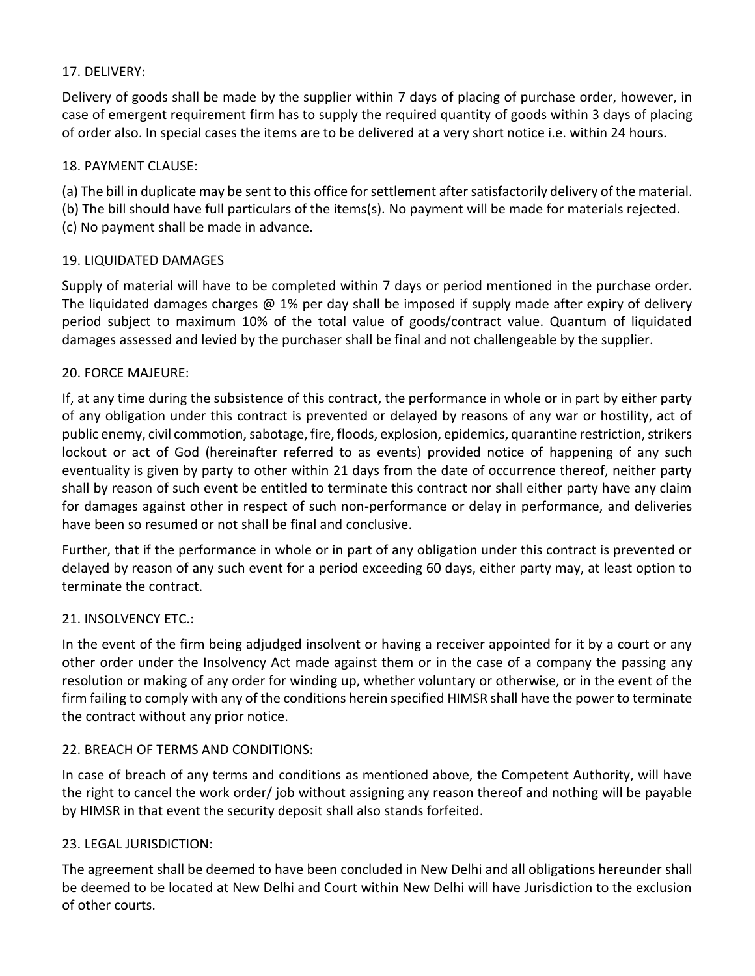# 17. DELIVERY:

Delivery of goods shall be made by the supplier within 7 days of placing of purchase order, however, in case of emergent requirement firm has to supply the required quantity of goods within 3 days of placing of order also. In special cases the items are to be delivered at a very short notice i.e. within 24 hours.

#### 18. PAYMENT CLAUSE:

(a) The bill in duplicate may be sent to this office for settlement after satisfactorily delivery of the material.

(b) The bill should have full particulars of the items(s). No payment will be made for materials rejected.

(c) No payment shall be made in advance.

# 19. LIQUIDATED DAMAGES

Supply of material will have to be completed within 7 days or period mentioned in the purchase order. The liquidated damages charges @ 1% per day shall be imposed if supply made after expiry of delivery period subject to maximum 10% of the total value of goods/contract value. Quantum of liquidated damages assessed and levied by the purchaser shall be final and not challengeable by the supplier.

#### 20. FORCE MAJEURE:

If, at any time during the subsistence of this contract, the performance in whole or in part by either party of any obligation under this contract is prevented or delayed by reasons of any war or hostility, act of public enemy, civil commotion, sabotage, fire, floods, explosion, epidemics, quarantine restriction, strikers lockout or act of God (hereinafter referred to as events) provided notice of happening of any such eventuality is given by party to other within 21 days from the date of occurrence thereof, neither party shall by reason of such event be entitled to terminate this contract nor shall either party have any claim for damages against other in respect of such non-performance or delay in performance, and deliveries have been so resumed or not shall be final and conclusive.

Further, that if the performance in whole or in part of any obligation under this contract is prevented or delayed by reason of any such event for a period exceeding 60 days, either party may, at least option to terminate the contract.

# 21. INSOLVENCY ETC.:

In the event of the firm being adjudged insolvent or having a receiver appointed for it by a court or any other order under the Insolvency Act made against them or in the case of a company the passing any resolution or making of any order for winding up, whether voluntary or otherwise, or in the event of the firm failing to comply with any of the conditions herein specified HIMSR shall have the power to terminate the contract without any prior notice.

# 22. BREACH OF TERMS AND CONDITIONS:

In case of breach of any terms and conditions as mentioned above, the Competent Authority, will have the right to cancel the work order/ job without assigning any reason thereof and nothing will be payable by HIMSR in that event the security deposit shall also stands forfeited.

# 23. LEGAL JURISDICTION:

The agreement shall be deemed to have been concluded in New Delhi and all obligations hereunder shall be deemed to be located at New Delhi and Court within New Delhi will have Jurisdiction to the exclusion of other courts.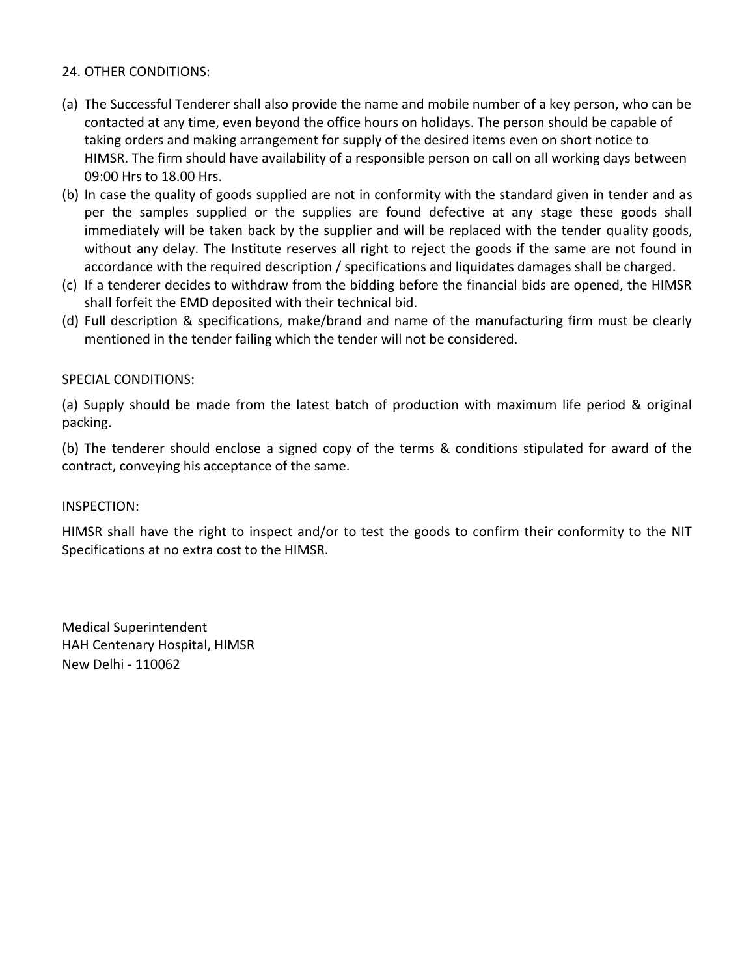#### 24. OTHER CONDITIONS:

- (a) The Successful Tenderer shall also provide the name and mobile number of a key person, who can be contacted at any time, even beyond the office hours on holidays. The person should be capable of taking orders and making arrangement for supply of the desired items even on short notice to HIMSR. The firm should have availability of a responsible person on call on all working days between 09:00 Hrs to 18.00 Hrs.
- (b) In case the quality of goods supplied are not in conformity with the standard given in tender and as per the samples supplied or the supplies are found defective at any stage these goods shall immediately will be taken back by the supplier and will be replaced with the tender quality goods, without any delay. The Institute reserves all right to reject the goods if the same are not found in accordance with the required description / specifications and liquidates damages shall be charged.
- (c) If a tenderer decides to withdraw from the bidding before the financial bids are opened, the HIMSR shall forfeit the EMD deposited with their technical bid.
- (d) Full description & specifications, make/brand and name of the manufacturing firm must be clearly mentioned in the tender failing which the tender will not be considered.

#### SPECIAL CONDITIONS:

(a) Supply should be made from the latest batch of production with maximum life period & original packing.

(b) The tenderer should enclose a signed copy of the terms & conditions stipulated for award of the contract, conveying his acceptance of the same.

#### INSPECTION:

HIMSR shall have the right to inspect and/or to test the goods to confirm their conformity to the NIT Specifications at no extra cost to the HIMSR.

Medical Superintendent HAH Centenary Hospital, HIMSR New Delhi - 110062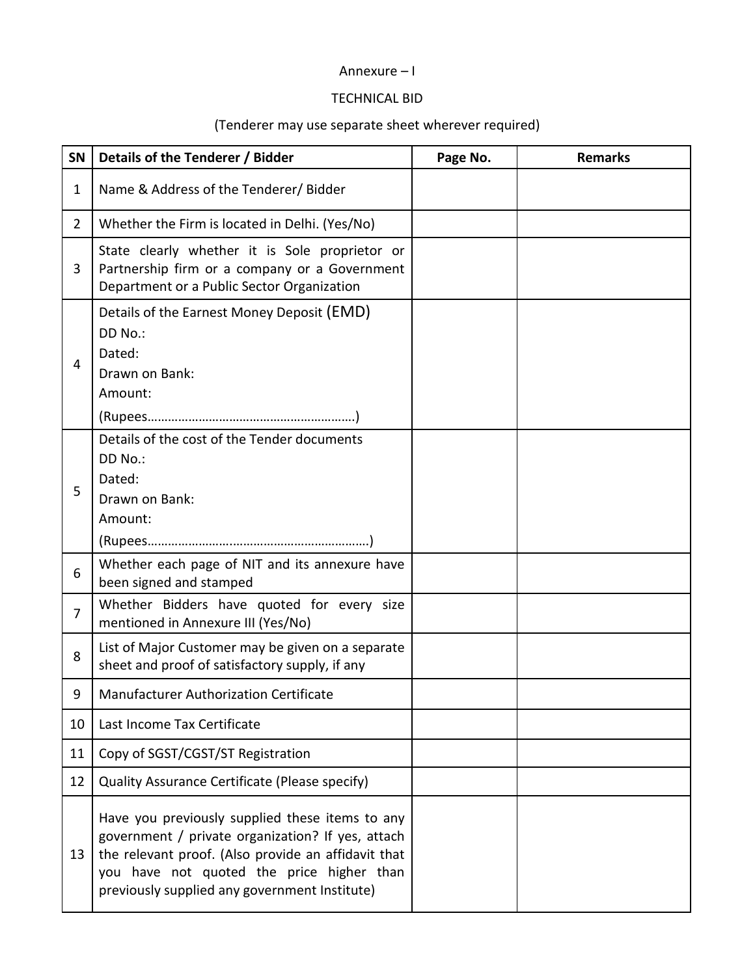# Annexure – I

# TECHNICAL BID

# (Tenderer may use separate sheet wherever required)

| SN             | Details of the Tenderer / Bidder                                                                                                                                                                                                                          | Page No. | <b>Remarks</b> |
|----------------|-----------------------------------------------------------------------------------------------------------------------------------------------------------------------------------------------------------------------------------------------------------|----------|----------------|
| 1              | Name & Address of the Tenderer/ Bidder                                                                                                                                                                                                                    |          |                |
| $\overline{2}$ | Whether the Firm is located in Delhi. (Yes/No)                                                                                                                                                                                                            |          |                |
| 3              | State clearly whether it is Sole proprietor or<br>Partnership firm or a company or a Government<br>Department or a Public Sector Organization                                                                                                             |          |                |
| 4              | Details of the Earnest Money Deposit (EMD)<br>DD No.:<br>Dated:<br>Drawn on Bank:<br>Amount:                                                                                                                                                              |          |                |
| 5              | Details of the cost of the Tender documents<br>DD No.:<br>Dated:<br>Drawn on Bank:<br>Amount:                                                                                                                                                             |          |                |
| 6              | Whether each page of NIT and its annexure have<br>been signed and stamped                                                                                                                                                                                 |          |                |
| $\overline{7}$ | Whether Bidders have quoted for every size<br>mentioned in Annexure III (Yes/No)                                                                                                                                                                          |          |                |
| 8              | List of Major Customer may be given on a separate<br>sheet and proof of satisfactory supply, if any                                                                                                                                                       |          |                |
| 9              | <b>Manufacturer Authorization Certificate</b>                                                                                                                                                                                                             |          |                |
| 10             | Last Income Tax Certificate                                                                                                                                                                                                                               |          |                |
| 11             | Copy of SGST/CGST/ST Registration                                                                                                                                                                                                                         |          |                |
| 12             | Quality Assurance Certificate (Please specify)                                                                                                                                                                                                            |          |                |
| 13             | Have you previously supplied these items to any<br>government / private organization? If yes, attach<br>the relevant proof. (Also provide an affidavit that<br>you have not quoted the price higher than<br>previously supplied any government Institute) |          |                |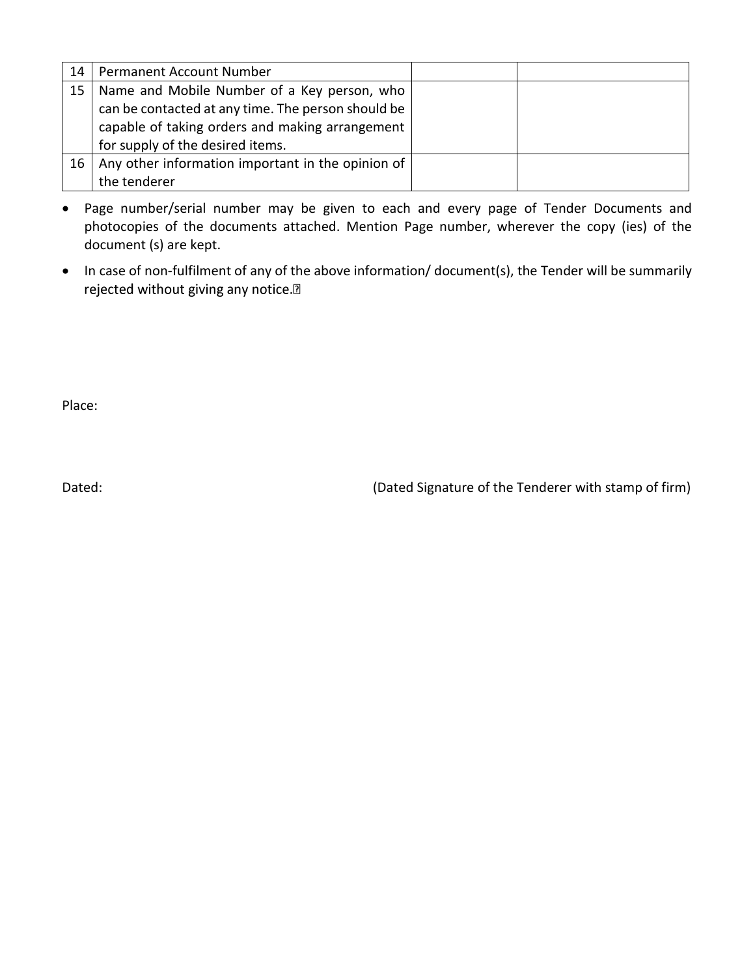| 14 | <b>Permanent Account Number</b>                    |  |
|----|----------------------------------------------------|--|
| 15 | Name and Mobile Number of a Key person, who        |  |
|    | can be contacted at any time. The person should be |  |
|    | capable of taking orders and making arrangement    |  |
|    | for supply of the desired items.                   |  |
| 16 | Any other information important in the opinion of  |  |
|    | the tenderer                                       |  |

- Page number/serial number may be given to each and every page of Tender Documents and photocopies of the documents attached. Mention Page number, wherever the copy (ies) of the document (s) are kept.
- In case of non-fulfilment of any of the above information/ document(s), the Tender will be summarily rejected without giving any notice.<sup>[2]</sup>

Place:

Dated: Dated: Case of the Tenderer with stamp of firm)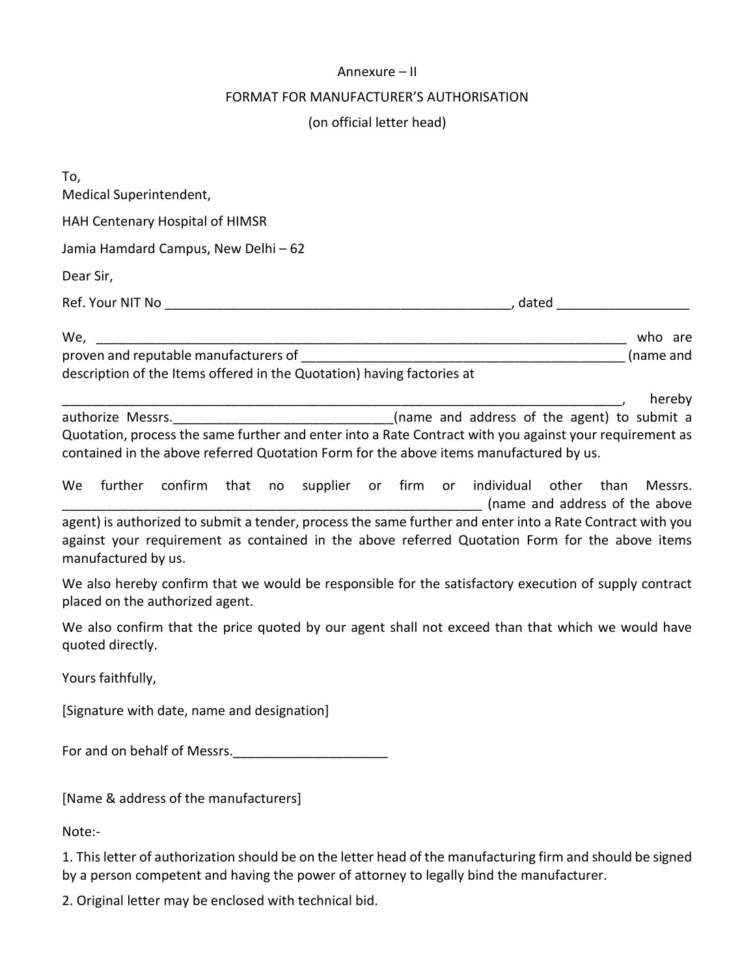#### Annexure – II

#### FORMAT FOR MANUFACTURER'S AUTHORISATION

(on official letter head)

| To,<br>Medical Superintendent,                                                                                                                                                                                                                                                                                |         |
|---------------------------------------------------------------------------------------------------------------------------------------------------------------------------------------------------------------------------------------------------------------------------------------------------------------|---------|
| HAH Centenary Hospital of HIMSR                                                                                                                                                                                                                                                                               |         |
| Jamia Hamdard Campus, New Delhi - 62                                                                                                                                                                                                                                                                          |         |
| Dear Sir,                                                                                                                                                                                                                                                                                                     |         |
|                                                                                                                                                                                                                                                                                                               |         |
| description of the Items offered in the Quotation) having factories at                                                                                                                                                                                                                                        |         |
| authorize Messrs. ________________________________(name and address of the agent) to submit a<br>Quotation, process the same further and enter into a Rate Contract with you against your requirement as<br>contained in the above referred Quotation Form for the above items manufactured by us.            | hereby  |
| further confirm that no supplier or firm or individual other than<br>We<br>agent) is authorized to submit a tender, process the same further and enter into a Rate Contract with you<br>against your requirement as contained in the above referred Quotation Form for the above items<br>manufactured by us. | Messrs. |
| We also hereby confirm that we would be responsible for the satisfactory execution of supply contract<br>placed on the authorized agent.                                                                                                                                                                      |         |
| We also confirm that the price quoted by our agent shall not exceed than that which we would have<br>quoted directly.                                                                                                                                                                                         |         |
| Yours faithfully,                                                                                                                                                                                                                                                                                             |         |
| [Signature with date, name and designation]                                                                                                                                                                                                                                                                   |         |
| For and on behalf of Messrs.                                                                                                                                                                                                                                                                                  |         |
| [Name & address of the manufacturers]                                                                                                                                                                                                                                                                         |         |
| Note:-                                                                                                                                                                                                                                                                                                        |         |

1. This letter of authorization should be on the letter head of the manufacturing firm and should be signed by a person competent and having the power of attorney to legally bind the manufacturer.

2. Original letter may be enclosed with technical bid.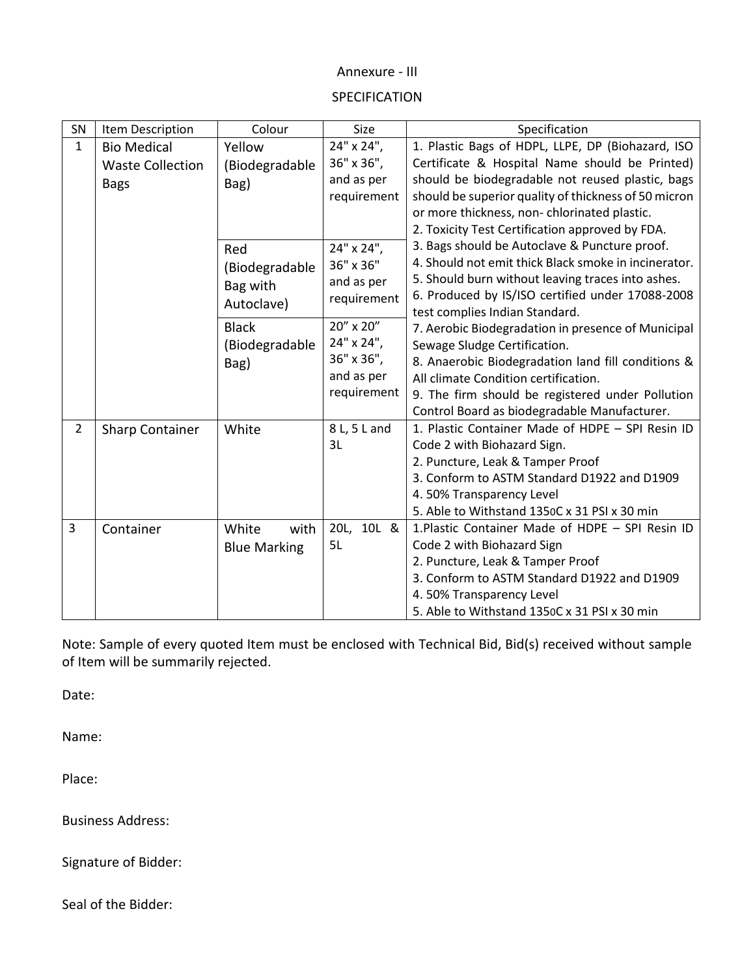#### Annexure - III

#### SPECIFICATION

| SN                      | Item Description        | Colour                 | <b>Size</b>  | Specification                                        |  |  |
|-------------------------|-------------------------|------------------------|--------------|------------------------------------------------------|--|--|
| 1                       | <b>Bio Medical</b>      | Yellow                 | 24" x 24",   | 1. Plastic Bags of HDPL, LLPE, DP (Biohazard, ISO    |  |  |
|                         | <b>Waste Collection</b> | (Biodegradable         | 36" x 36",   | Certificate & Hospital Name should be Printed)       |  |  |
|                         | <b>Bags</b>             | Bag)                   | and as per   | should be biodegradable not reused plastic, bags     |  |  |
|                         |                         |                        | requirement  | should be superior quality of thickness of 50 micron |  |  |
|                         |                         |                        |              | or more thickness, non-chlorinated plastic.          |  |  |
|                         |                         |                        |              | 2. Toxicity Test Certification approved by FDA.      |  |  |
|                         |                         | Red                    | 24" x 24",   | 3. Bags should be Autoclave & Puncture proof.        |  |  |
|                         |                         | (Biodegradable         | 36" x 36"    | 4. Should not emit thick Black smoke in incinerator. |  |  |
|                         |                         | Bag with<br>Autoclave) | and as per   | 5. Should burn without leaving traces into ashes.    |  |  |
|                         |                         |                        | requirement  | 6. Produced by IS/ISO certified under 17088-2008     |  |  |
|                         |                         |                        | 20" x 20"    | test complies Indian Standard.                       |  |  |
|                         |                         | <b>Black</b>           |              | 7. Aerobic Biodegradation in presence of Municipal   |  |  |
|                         |                         | (Biodegradable         | 24" x 24",   | Sewage Sludge Certification.                         |  |  |
|                         |                         | Bag)                   | 36" x 36",   | 8. Anaerobic Biodegradation land fill conditions &   |  |  |
|                         |                         |                        | and as per   | All climate Condition certification.                 |  |  |
|                         |                         |                        | requirement  | 9. The firm should be registered under Pollution     |  |  |
|                         |                         |                        |              | Control Board as biodegradable Manufacturer.         |  |  |
| $\overline{2}$          | <b>Sharp Container</b>  | White                  | 8 L, 5 L and | 1. Plastic Container Made of HDPE - SPI Resin ID     |  |  |
|                         |                         |                        | 3L           | Code 2 with Biohazard Sign.                          |  |  |
|                         |                         |                        |              | 2. Puncture, Leak & Tamper Proof                     |  |  |
|                         |                         |                        |              | 3. Conform to ASTM Standard D1922 and D1909          |  |  |
|                         |                         |                        |              | 4.50% Transparency Level                             |  |  |
|                         |                         |                        |              | 5. Able to Withstand 1350C x 31 PSI x 30 min         |  |  |
| $\overline{\mathbf{3}}$ | Container               | White<br>with          | 20L, 10L &   | 1. Plastic Container Made of HDPE - SPI Resin ID     |  |  |
|                         |                         | <b>Blue Marking</b>    | 5L           | Code 2 with Biohazard Sign                           |  |  |
|                         |                         |                        |              | 2. Puncture, Leak & Tamper Proof                     |  |  |
|                         |                         |                        |              | 3. Conform to ASTM Standard D1922 and D1909          |  |  |
|                         |                         |                        |              | 4.50% Transparency Level                             |  |  |
|                         |                         |                        |              | 5. Able to Withstand 1350C x 31 PSI x 30 min         |  |  |

Note: Sample of every quoted Item must be enclosed with Technical Bid, Bid(s) received without sample of Item will be summarily rejected.

Date:

Name:

Place:

Business Address:

Signature of Bidder:

Seal of the Bidder: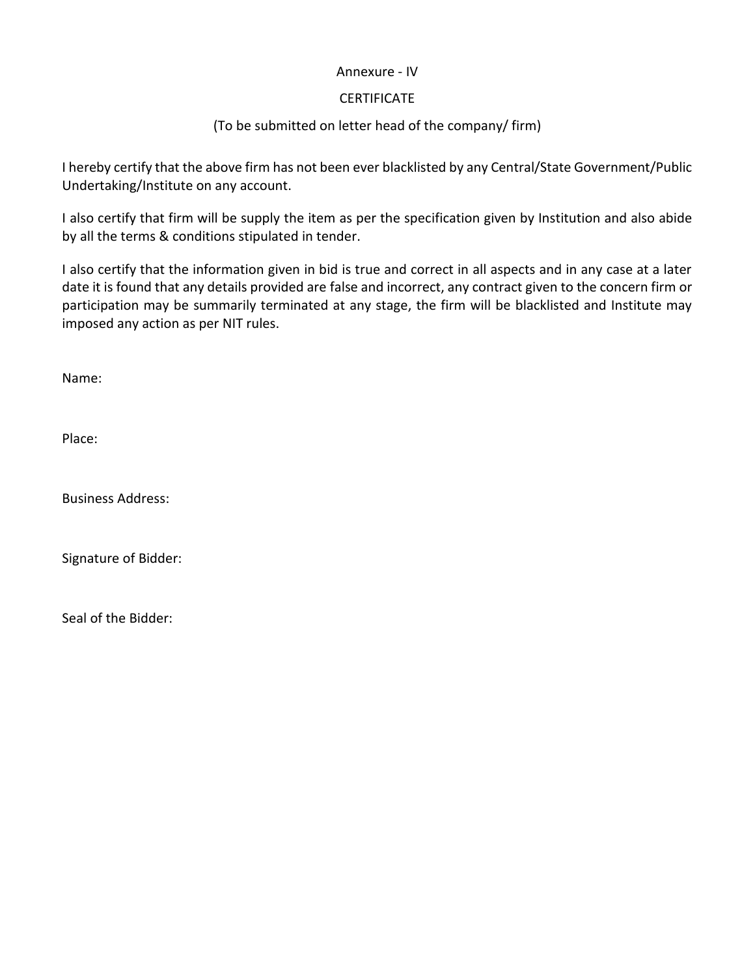#### Annexure - IV

#### **CERTIFICATE**

# (To be submitted on letter head of the company/ firm)

I hereby certify that the above firm has not been ever blacklisted by any Central/State Government/Public Undertaking/Institute on any account.

I also certify that firm will be supply the item as per the specification given by Institution and also abide by all the terms & conditions stipulated in tender.

I also certify that the information given in bid is true and correct in all aspects and in any case at a later date it is found that any details provided are false and incorrect, any contract given to the concern firm or participation may be summarily terminated at any stage, the firm will be blacklisted and Institute may imposed any action as per NIT rules.

Name:

Place:

Business Address:

Signature of Bidder:

Seal of the Bidder: